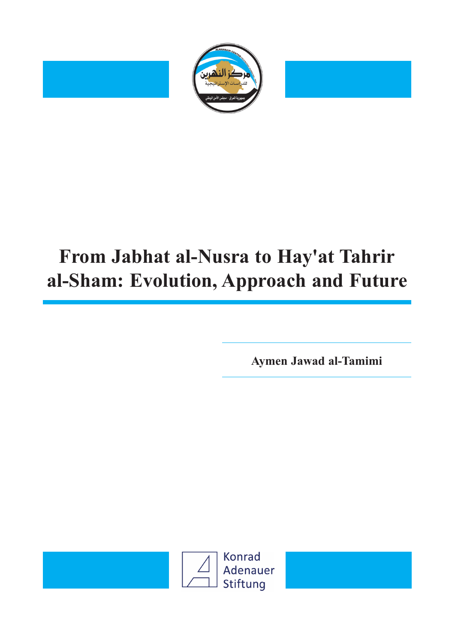

# **From Jabhat al-Nusra to Hay'at Tahrir al-Sham: Evolution, Approach and Future**

**Aymen Jawad al-Tamimi**

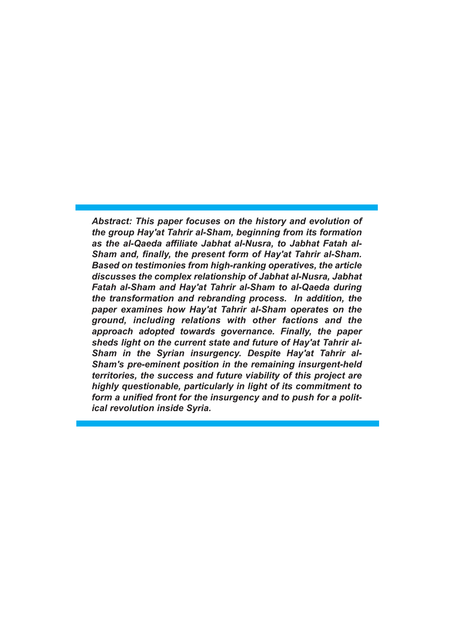*Abstract: This paper focuses on the history and evolution of the group Hay'at Tahrir al-Sham, beginning from its formation as the al-Qaeda affiliate Jabhat al-Nusra, to Jabhat Fatah al-Sham and, finally, the present form of Hay'at Tahrir al-Sham. Based on testimonies from high-ranking operatives, the article discusses the complex relationship of Jabhat al-Nusra, Jabhat Fatah al-Sham and Hay'at Tahrir al-Sham to al-Qaeda during the transformation and rebranding process. In addition, the paper examines how Hay'at Tahrir al-Sham operates on the ground, including relations with other factions and the approach adopted towards governance. Finally, the paper sheds light on the current state and future of Hay'at Tahrir al-Sham in the Syrian insurgency. Despite Hay'at Tahrir al-Sham's pre-eminent position in the remaining insurgent-held territories, the success and future viability of this project are highly questionable, particularly in light of its commitment to form a unified front for the insurgency and to push for a political revolution inside Syria.*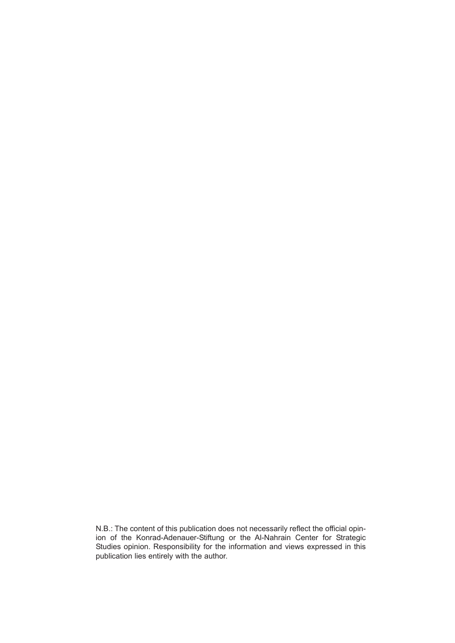N.B.: The content of this publication does not necessarily reflect the official opinion of the Konrad-Adenauer-Stiftung or the Al-Nahrain Center for Strategic Studies opinion. Responsibility for the information and views expressed in this publication lies entirely with the author.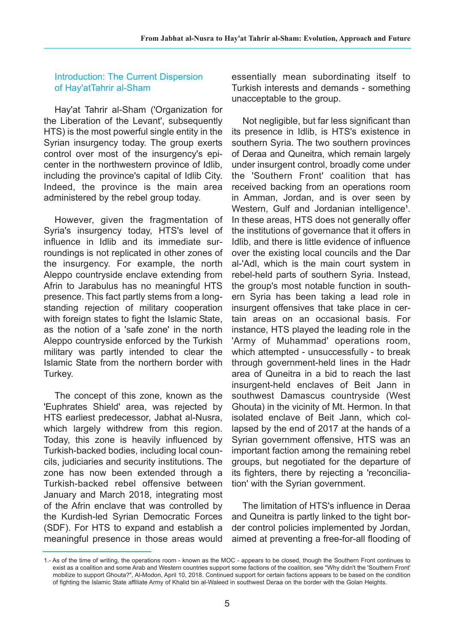Introduction: The Current Dispersion of Hay'atTahrir al-Sham

Hay'at Tahrir al-Sham ('Organization for the Liberation of the Levant', subsequently HTS) is the most powerful single entity in the Syrian insurgency today. The group exerts control over most of the insurgency's epicenter in the northwestern province of Idlib, including the province's capital of Idlib City. Indeed, the province is the main area administered by the rebel group today.

However, given the fragmentation of Syria's insurgency today, HTS's level of influence in Idlib and its immediate surroundings is not replicated in other zones of the insurgency. For example, the north Aleppo countryside enclave extending from Afrin to Jarabulus has no meaningful HTS presence. This fact partly stems from a longstanding rejection of military cooperation with foreign states to fight the Islamic State. as the notion of a 'safe zone' in the north Aleppo countryside enforced by the Turkish military was partly intended to clear the Islamic State from the northern border with Turkey.

The concept of this zone, known as the 'Euphrates Shield' area, was rejected by HTS earliest predecessor, Jabhat al-Nusra, which largely withdrew from this region. Today, this zone is heavily influenced by Turkish-backed bodies, including local councils, judiciaries and security institutions. The zone has now been extended through a Turkish-backed rebel offensive between January and March 2018, integrating most of the Afrin enclave that was controlled by the Kurdish-led Syrian Democratic Forces (SDF). For HTS to expand and establish a meaningful presence in those areas would

essentially mean subordinating itself to Turkish interests and demands - something unacceptable to the group.

Not negligible, but far less significant than its presence in Idlib, is HTS's existence in southern Syria. The two southern provinces of Deraa and Quneitra, which remain largely under insurgent control, broadly come under the 'Southern Front' coalition that has received backing from an operations room in Amman, Jordan, and is over seen by Western, Gulf and Jordanian intelligence**<sup>1</sup>** . In these areas, HTS does not generally offer the institutions of governance that it offers in Idlib, and there is little evidence of influence over the existing local councils and the Dar al-'Adl, which is the main court system in rebel-held parts of southern Syria. Instead, the group's most notable function in southern Syria has been taking a lead role in insurgent offensives that take place in certain areas on an occasional basis. For instance, HTS played the leading role in the 'Army of Muhammad' operations room, which attempted - unsuccessfully - to break through government-held lines in the Hadr area of Quneitra in a bid to reach the last insurgent-held enclaves of Beit Jann in southwest Damascus countryside (West Ghouta) in the vicinity of Mt. Hermon. In that isolated enclave of Beit Jann, which collapsed by the end of 2017 at the hands of a Syrian government offensive, HTS was an important faction among the remaining rebel groups, but negotiated for the departure of its fighters, there by rejecting a 'reconciliation' with the Syrian government.

The limitation of HTS's influence in Deraa and Quneitra is partly linked to the tight border control policies implemented by Jordan, aimed at preventing a free-for-all flooding of

<sup>1.-</sup> As of the time of writing, the operations room - known as the MOC - appears to be closed, though the Southern Front continues to exist as a coalition and some Arab and Western countries support some factions of the coalition, see "Why didn't the 'Southern Front' mobilize to support Ghouta?", Al-Modon, April 10, 2018. Continued support for certain factions appears to be based on the condition of fighting the Islamic State affiliate Army of Khalid bin al-Waleed in southwest Deraa on the border with the Golan Heights.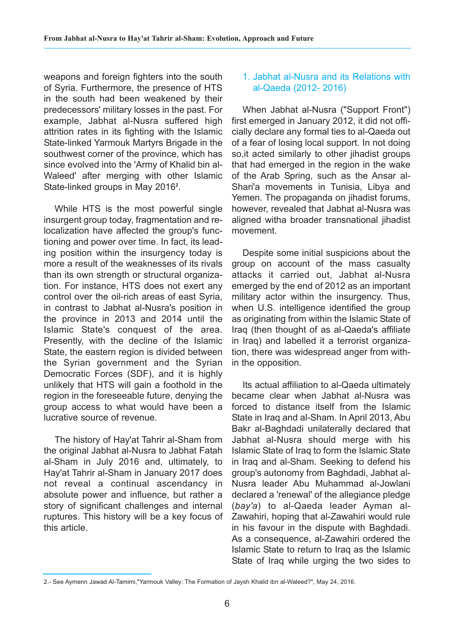weapons and foreign fighters into the south of Syria. Furthermore, the presence of HTS in the south had been weakened by their predecessors' military losses in the past. For example, Jabhat al-Nusra suffered high attrition rates in its fighting with the Islamic State-linked Yarmouk Martyrs Brigade in the southwest corner of the province, which has since evolved into the 'Army of Khalid bin al-Waleed' after merging with other Islamic State-linked groups in May 2016<sup>2</sup>.

While HTS is the most powerful single insurgent group today, fragmentation and relocalization have affected the group's functioning and power over time. In fact, its leading position within the insurgency today is more a result of the weaknesses of its rivals than its own strength or structural organization. For instance, HTS does not exert any control over the oil-rich areas of east Syria, in contrast to Jabhat al-Nusra's position in the province in 2013 and 2014 until the Islamic State's conquest of the area. Presently, with the decline of the Islamic State, the eastern region is divided between the Syrian government and the Syrian Democratic Forces (SDF), and it is highly unlikely that HTS will gain a foothold in the region in the foreseeable future, denying the group access to what would have been a lucrative source of revenue.

The history of Hay'at Tahrir al-Sham from the original Jabhat al-Nusra to Jabhat Fatah al-Sham in July 2016 and, ultimately, to Hay'at Tahrir al-Sham in January 2017 does not reveal a continual ascendancy in absolute power and influence, but rather a story of significant challenges and internal ruptures. This history will be a key focus of this article.

#### 1. Jabhat al-Nusra and its Relations with al-Qaeda (2012- 2016)

When Jabhat al-Nusra ("Support Front") first emerged in January 2012, it did not officially declare any formal ties to al-Qaeda out of a fear of losing local support. In not doing so,it acted similarly to other jihadist groups that had emerged in the region in the wake of the Arab Spring, such as the Ansar al-Shari'a movements in Tunisia, Libya and Yemen. The propaganda on jihadist forums, however, revealed that Jabhat al-Nusra was aligned witha broader transnational jihadist movement.

Despite some initial suspicions about the group on account of the mass casualty attacks it carried out, Jabhat al-Nusra emerged by the end of 2012 as an important military actor within the insurgency. Thus, when U.S. intelligence identified the group as originating from within the Islamic State of Iraq (then thought of as al-Qaeda's affiliate in Iraq) and labelled it a terrorist organization, there was widespread anger from within the opposition.

Its actual affiliation to al-Qaeda ultimately became clear when Jabhat al-Nusra was forced to distance itself from the Islamic State in Iraq and al-Sham. In April 2013, Abu Bakr al-Baghdadi unilaterally declared that Jabhat al-Nusra should merge with his Islamic State of Iraq to form the Islamic State in Iraq and al-Sham. Seeking to defend his group's autonomy from Baghdadi, Jabhat al-Nusra leader Abu Muhammad al-Jowlani declared a 'renewal' of the allegiance pledge (*bay'a*) to al-Qaeda leader Ayman al-Zawahiri, hoping that al-Zawahiri would rule in his favour in the dispute with Baghdadi. As a consequence, al-Zawahiri ordered the Islamic State to return to Iraq as the Islamic State of Iraq while urging the two sides to

<sup>2.-</sup> See Aymenn Jawad Al-Tamimi,"Yarmouk Valley: The Formation of Jaysh Khalid ibn al-Waleed?", May 24, 2016.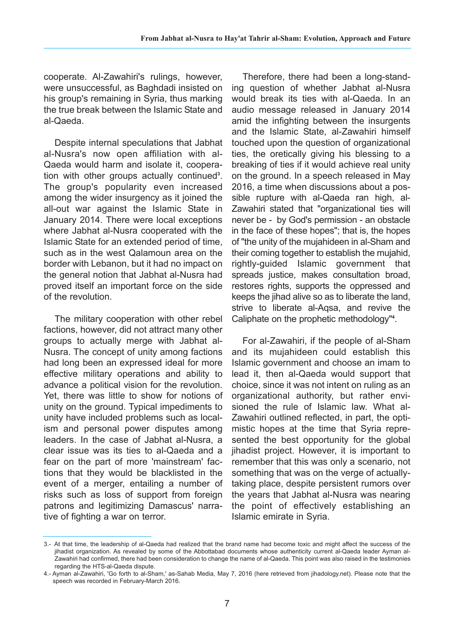cooperate. Al-Zawahiri's rulings, however, were unsuccessful, as Baghdadi insisted on his group's remaining in Syria, thus marking the true break between the Islamic State and al-Qaeda.

Despite internal speculations that Jabhat al-Nusra's now open affiliation with al-Qaeda would harm and isolate it, cooperation with other groups actually continued**<sup>3</sup>** . The group's popularity even increased among the wider insurgency as it joined the all-out war against the Islamic State in January 2014. There were local exceptions where Jabhat al-Nusra cooperated with the Islamic State for an extended period of time, such as in the west Qalamoun area on the border with Lebanon, but it had no impact on the general notion that Jabhat al-Nusra had proved itself an important force on the side of the revolution.

The military cooperation with other rebel factions, however, did not attract many other groups to actually merge with Jabhat al-Nusra. The concept of unity among factions had long been an expressed ideal for more effective military operations and ability to advance a political vision for the revolution. Yet, there was little to show for notions of unity on the ground. Typical impediments to unity have included problems such as localism and personal power disputes among leaders. In the case of Jabhat al-Nusra, a clear issue was its ties to al-Qaeda and a fear on the part of more 'mainstream' factions that they would be blacklisted in the event of a merger, entailing a number of risks such as loss of support from foreign patrons and legitimizing Damascus' narrative of fighting a war on terror.

Therefore, there had been a long-standing question of whether Jabhat al-Nusra would break its ties with al-Qaeda. In an audio message released in January 2014 amid the infighting between the insurgents and the Islamic State, al-Zawahiri himself touched upon the question of organizational ties, the oretically giving his blessing to a breaking of ties if it would achieve real unity on the ground. In a speech released in May 2016, a time when discussions about a possible rupture with al-Qaeda ran high, al-Zawahiri stated that "organizational ties will never be - by God's permission - an obstacle in the face of these hopes"; that is, the hopes of "the unity of the mujahideen in al-Sham and their coming together to establish the mujahid, rightly-guided Islamic government that spreads justice, makes consultation broad, restores rights, supports the oppressed and keeps the jihad alive so as to liberate the land, strive to liberate al-Aqsa, and revive the Caliphate on the prophetic methodology"**<sup>4</sup>** .

For al-Zawahiri, if the people of al-Sham and its mujahideen could establish this Islamic government and choose an imam to lead it, then al-Qaeda would support that choice, since it was not intent on ruling as an organizational authority, but rather envisioned the rule of Islamic law. What al-Zawahiri outlined reflected, in part, the optimistic hopes at the time that Syria represented the best opportunity for the global jihadist project. However, it is important to remember that this was only a scenario, not something that was on the verge of actuallytaking place, despite persistent rumors over the years that Jabhat al-Nusra was nearing the point of effectively establishing an Islamic emirate in Syria.

<sup>3.-</sup> At that time, the leadership of al-Qaeda had realized that the brand name had become toxic and might affect the success of the jihadist organization. As revealed by some of the Abbottabad documents whose authenticity current al-Qaeda leader Ayman al-Zawahiri had confirmed, there had been consideration to change the name of al-Qaeda. This point was also raised in the testimonies regarding the HTS-al-Qaeda dispute.

<sup>4.-</sup> Ayman al-Zawahiri, 'Go forth to al-Sham,' as-Sahab Media, May 7, 2016 (here retrieved from jihadology.net). Please note that the speech was recorded in February-March 2016.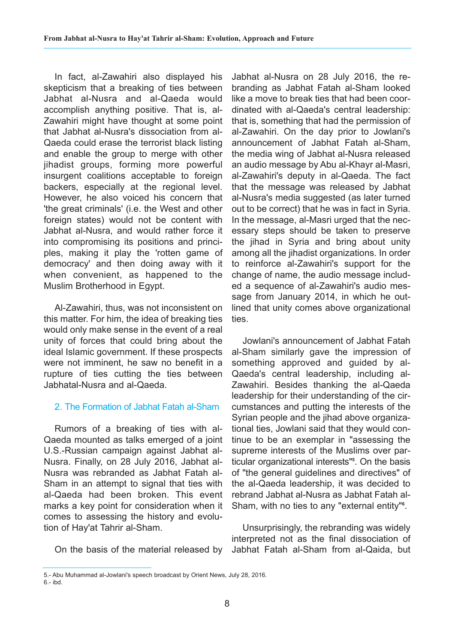In fact, al-Zawahiri also displayed his skepticism that a breaking of ties between Jabhat al-Nusra and al-Qaeda would accomplish anything positive. That is, al-Zawahiri might have thought at some point that Jabhat al-Nusra's dissociation from al-Qaeda could erase the terrorist black listing and enable the group to merge with other jihadist groups, forming more powerful insurgent coalitions acceptable to foreign backers, especially at the regional level. However, he also voiced his concern that 'the great criminals' (i.e. the West and other foreign states) would not be content with Jabhat al-Nusra, and would rather force it into compromising its positions and principles, making it play the 'rotten game of democracy' and then doing away with it when convenient, as happened to the Muslim Brotherhood in Egypt.

Al-Zawahiri, thus, was not inconsistent on this matter. For him, the idea of breaking ties would only make sense in the event of a real unity of forces that could bring about the ideal Islamic government. If these prospects were not imminent, he saw no benefit in a rupture of ties cutting the ties between Jabhatal-Nusra and al-Qaeda.

## 2. The Formation of Jabhat Fatah al-Sham

Rumors of a breaking of ties with al-Qaeda mounted as talks emerged of a joint U.S.-Russian campaign against Jabhat al-Nusra. Finally, on 28 July 2016, Jabhat al-Nusra was rebranded as Jabhat Fatah al-Sham in an attempt to signal that ties with al-Qaeda had been broken. This event marks a key point for consideration when it comes to assessing the history and evolution of Hay'at Tahrir al-Sham.

On the basis of the material released by

Jabhat al-Nusra on 28 July 2016, the rebranding as Jabhat Fatah al-Sham looked like a move to break ties that had been coordinated with al-Qaeda's central leadership: that is, something that had the permission of al-Zawahiri. On the day prior to Jowlani's announcement of Jabhat Fatah al-Sham, the media wing of Jabhat al-Nusra released an audio message by Abu al-Khayr al-Masri, al-Zawahiri's deputy in al-Qaeda. The fact that the message was released by Jabhat al-Nusra's media suggested (as later turned out to be correct) that he was in fact in Syria. In the message, al-Masri urged that the necessary steps should be taken to preserve the jihad in Syria and bring about unity among all the jihadist organizations. In order to reinforce al-Zawahiri's support for the change of name, the audio message included a sequence of al-Zawahiri's audio message from January 2014, in which he outlined that unity comes above organizational ties.

Jowlani's announcement of Jabhat Fatah al-Sham similarly gave the impression of something approved and guided by al-Qaeda's central leadership, including al-Zawahiri. Besides thanking the al-Qaeda leadership for their understanding of the circumstances and putting the interests of the Syrian people and the jihad above organizational ties, Jowlani said that they would continue to be an exemplar in "assessing the supreme interests of the Muslims over particular organizational interests"**<sup>5</sup>** . On the basis of "the general guidelines and directives" of the al-Qaeda leadership, it was decided to rebrand Jabhat al-Nusra as Jabhat Fatah al-Sham, with no ties to any "external entity"**<sup>6</sup>** .

Unsurprisingly, the rebranding was widely interpreted not as the final dissociation of Jabhat Fatah al-Sham from al-Qaida, but

<sup>5.-</sup> Abu Muhammad al-Jowlani's speech broadcast by Orient News, July 28, 2016.  $6 - ibd$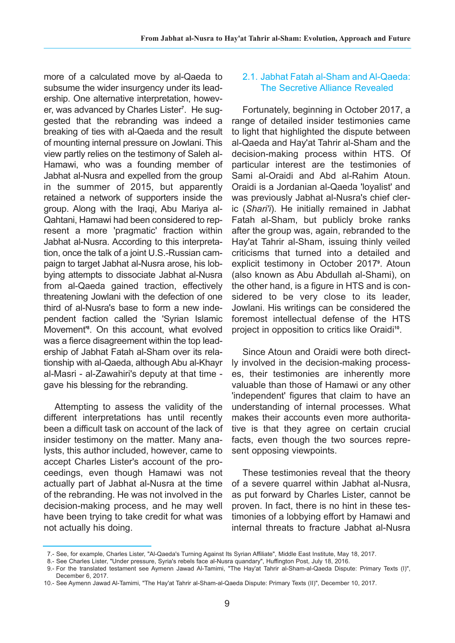more of a calculated move by al-Qaeda to subsume the wider insurgency under its leadership. One alternative interpretation, however, was advanced by Charles Lister**<sup>7</sup>** . He suggested that the rebranding was indeed a breaking of ties with al-Qaeda and the result of mounting internal pressure on Jowlani. This view partly relies on the testimony of Saleh al-Hamawi, who was a founding member of Jabhat al-Nusra and expelled from the group in the summer of 2015, but apparently retained a network of supporters inside the group. Along with the Iraqi, Abu Mariya al-Qahtani, Hamawi had been considered to represent a more 'pragmatic' fraction within Jabhat al-Nusra. According to this interpretation, once the talk of a joint U.S.-Russian campaign to target Jabhat al-Nusra arose, his lobbying attempts to dissociate Jabhat al-Nusra from al-Qaeda gained traction, effectively threatening Jowlani with the defection of one third of al-Nusra's base to form a new independent faction called the 'Syrian Islamic Movement'**<sup>8</sup>** . On this account, what evolved was a fierce disagreement within the top leadership of Jabhat Fatah al-Sham over its relationship with al-Qaeda, although Abu al-Khayr al-Masri - al-Zawahiri's deputy at that time gave his blessing for the rebranding.

Attempting to assess the validity of the different interpretations has until recently been a difficult task on account of the lack of insider testimony on the matter. Many analysts, this author included, however, came to accept Charles Lister's account of the proceedings, even though Hamawi was not actually part of Jabhat al-Nusra at the time of the rebranding. He was not involved in the decision-making process, and he may well have been trying to take credit for what was not actually his doing.

#### 2.1. Jabhat Fatah al-Sham and Al-Qaeda: The Secretive Alliance Revealed

Fortunately, beginning in October 2017, a range of detailed insider testimonies came to light that highlighted the dispute between al-Qaeda and Hay'at Tahrir al-Sham and the decision-making process within HTS. Of particular interest are the testimonies of Sami al-Oraidi and Abd al-Rahim Atoun. Oraidi is a Jordanian al-Qaeda 'loyalist' and was previously Jabhat al-Nusra's chief cleric (*Shari'i*). He initially remained in Jabhat Fatah al-Sham, but publicly broke ranks after the group was, again, rebranded to the Hay'at Tahrir al-Sham, issuing thinly veiled criticisms that turned into a detailed and explicit testimony in October 2017**<sup>9</sup>** . Atoun (also known as Abu Abdullah al-Shami), on the other hand, is a figure in HTS and is considered to be very close to its leader, Jowlani. His writings can be considered the foremost intellectual defense of the HTS project in opposition to critics like Oraidi<sup>10</sup>.

Since Atoun and Oraidi were both directly involved in the decision-making processes, their testimonies are inherently more valuable than those of Hamawi or any other 'independent' figures that claim to have an understanding of internal processes. What makes their accounts even more authoritative is that they agree on certain crucial facts, even though the two sources represent opposing viewpoints.

These testimonies reveal that the theory of a severe quarrel within Jabhat al-Nusra, as put forward by Charles Lister, cannot be proven. In fact, there is no hint in these testimonies of a lobbying effort by Hamawi and internal threats to fracture Jabhat al-Nusra

<sup>17.-</sup> See, for example, Charles Lister, "Al-Qaeda's Turning Against Its Syrian Affiliate", Middle East Institute, May 18, 2017.

<sup>18.-</sup> See Charles Lister, "Under pressure, Syria's rebels face al-Nusra quandary", Huffington Post, July 18, 2016.

<sup>19.-</sup> For the translated testament see Aymenn Jawad Al-Tamimi, "The Hay'at Tahrir al-Sham-al-Qaeda Dispute: Primary Texts (I)", December 6, 2017.

<sup>10.-</sup> See Aymenn Jawad Al-Tamimi, "The Hay'at Tahrir al-Sham-al-Qaeda Dispute: Primary Texts (II)", December 10, 2017.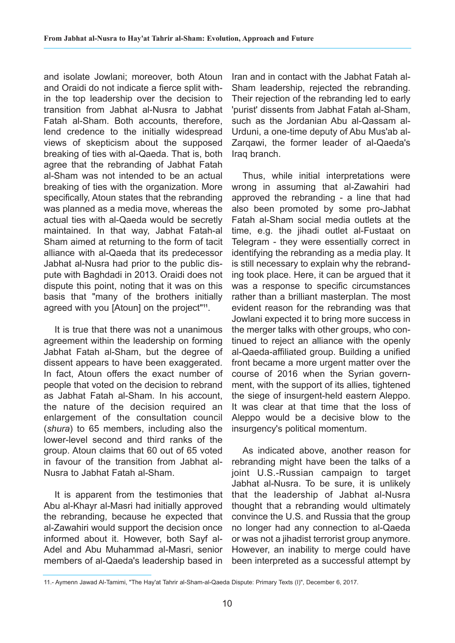and isolate Jowlani; moreover, both Atoun and Oraidi do not indicate a fierce split within the top leadership over the decision to transition from Jabhat al-Nusra to Jabhat Fatah al-Sham. Both accounts, therefore, lend credence to the initially widespread views of skepticism about the supposed breaking of ties with al-Qaeda. That is, both agree that the rebranding of Jabhat Fatah al-Sham was not intended to be an actual breaking of ties with the organization. More specifically, Atoun states that the rebranding was planned as a media move, whereas the actual ties with al-Qaeda would be secretly maintained. In that way, Jabhat Fatah-al Sham aimed at returning to the form of tacit alliance with al-Qaeda that its predecessor Jabhat al-Nusra had prior to the public dispute with Baghdadi in 2013. Oraidi does not dispute this point, noting that it was on this basis that "many of the brothers initially agreed with you [Atoun] on the project"**11**.

It is true that there was not a unanimous agreement within the leadership on forming Jabhat Fatah al-Sham, but the degree of dissent appears to have been exaggerated. In fact, Atoun offers the exact number of people that voted on the decision to rebrand as Jabhat Fatah al-Sham. In his account, the nature of the decision required an enlargement of the consultation council (*shura*) to 65 members, including also the lower-level second and third ranks of the group. Atoun claims that 60 out of 65 voted in favour of the transition from Jabhat al-Nusra to Jabhat Fatah al-Sham.

It is apparent from the testimonies that Abu al-Khayr al-Masri had initially approved the rebranding, because he expected that al-Zawahiri would support the decision once informed about it. However, both Sayf al-Adel and Abu Muhammad al-Masri, senior members of al-Qaeda's leadership based in

Iran and in contact with the Jabhat Fatah al-Sham leadership, rejected the rebranding. Their rejection of the rebranding led to early 'purist' dissents from Jabhat Fatah al-Sham, such as the Jordanian Abu al-Qassam al-Urduni, a one-time deputy of Abu Mus'ab al-Zarqawi, the former leader of al-Qaeda's Iraq branch.

Thus, while initial interpretations were wrong in assuming that al-Zawahiri had approved the rebranding - a line that had also been promoted by some pro-Jabhat Fatah al-Sham social media outlets at the time, e.g. the jihadi outlet al-Fustaat on Telegram - they were essentially correct in identifying the rebranding as a media play. It is still necessary to explain why the rebranding took place. Here, it can be argued that it was a response to specific circumstances rather than a brilliant masterplan. The most evident reason for the rebranding was that Jowlani expected it to bring more success in the merger talks with other groups, who continued to reject an alliance with the openly al-Qaeda-affiliated group. Building a unified front became a more urgent matter over the course of 2016 when the Syrian government, with the support of its allies, tightened the siege of insurgent-held eastern Aleppo. It was clear at that time that the loss of Aleppo would be a decisive blow to the insurgency's political momentum.

As indicated above, another reason for rebranding might have been the talks of a joint U.S.-Russian campaign to target Jabhat al-Nusra. To be sure, it is unlikely that the leadership of Jabhat al-Nusra thought that a rebranding would ultimately convince the U.S. and Russia that the group no longer had any connection to al-Qaeda or was not a jihadist terrorist group anymore. However, an inability to merge could have been interpreted as a successful attempt by

<sup>11.-</sup> Aymenn Jawad Al-Tamimi, "The Hay'at Tahrir al-Sham-al-Qaeda Dispute: Primary Texts (I)", December 6, 2017.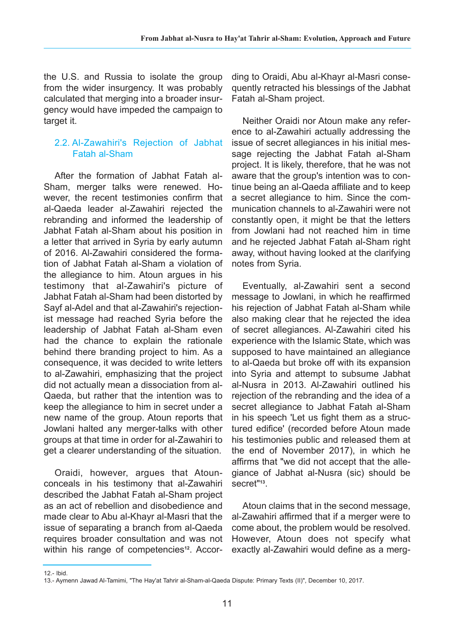the U.S. and Russia to isolate the group from the wider insurgency. It was probably calculated that merging into a broader insurgency would have impeded the campaign to target it.

#### 2.2. Al-Zawahiri's Rejection of Jabhat Fatah al-Sham

After the formation of Jabhat Fatah al-Sham, merger talks were renewed. However, the recent testimonies confirm that al-Qaeda leader al-Zawahiri rejected the rebranding and informed the leadership of Jabhat Fatah al-Sham about his position in a letter that arrived in Syria by early autumn of 2016. Al-Zawahiri considered the formation of Jabhat Fatah al-Sham a violation of the allegiance to him. Atoun argues in his testimony that al-Zawahiri's picture of Jabhat Fatah al-Sham had been distorted by Sayf al-Adel and that al-Zawahiri's rejectionist message had reached Syria before the leadership of Jabhat Fatah al-Sham even had the chance to explain the rationale behind there branding project to him. As a consequence, it was decided to write letters to al-Zawahiri, emphasizing that the project did not actually mean a dissociation from al-Qaeda, but rather that the intention was to keep the allegiance to him in secret under a new name of the group. Atoun reports that Jowlani halted any merger-talks with other groups at that time in order for al-Zawahiri to get a clearer understanding of the situation.

Oraidi, however, argues that Atounconceals in his testimony that al-Zawahiri described the Jabhat Fatah al-Sham project as an act of rebellion and disobedience and made clear to Abu al-Khayr al-Masri that the issue of separating a branch from al-Qaeda requires broader consultation and was not within his range of competencies<sup>12</sup>. According to Oraidi, Abu al-Khayr al-Masri consequently retracted his blessings of the Jabhat Fatah al-Sham project.

Neither Oraidi nor Atoun make any reference to al-Zawahiri actually addressing the issue of secret allegiances in his initial message rejecting the Jabhat Fatah al-Sham project. It is likely, therefore, that he was not aware that the group's intention was to continue being an al-Qaeda affiliate and to keep a secret allegiance to him. Since the communication channels to al-Zawahiri were not constantly open, it might be that the letters from Jowlani had not reached him in time and he rejected Jabhat Fatah al-Sham right away, without having looked at the clarifying notes from Syria.

Eventually, al-Zawahiri sent a second message to Jowlani, in which he reaffirmed his rejection of Jabhat Fatah al-Sham while also making clear that he rejected the idea of secret allegiances. Al-Zawahiri cited his experience with the Islamic State, which was supposed to have maintained an allegiance to al-Qaeda but broke off with its expansion into Syria and attempt to subsume Jabhat al-Nusra in 2013. Al-Zawahiri outlined his rejection of the rebranding and the idea of a secret allegiance to Jabhat Fatah al-Sham in his speech 'Let us fight them as a structured edifice' (recorded before Atoun made his testimonies public and released them at the end of November 2017), in which he affirms that "we did not accept that the allegiance of Jabhat al-Nusra (sic) should be secret"**13**.

Atoun claims that in the second message, al-Zawahiri affirmed that if a merger were to come about, the problem would be resolved. However, Atoun does not specify what exactly al-Zawahiri would define as a merg-

<sup>12.-</sup> Ibid.

<sup>13.-</sup> Aymenn Jawad Al-Tamimi, "The Hay'at Tahrir al-Sham-al-Qaeda Dispute: Primary Texts (II)", December 10, 2017.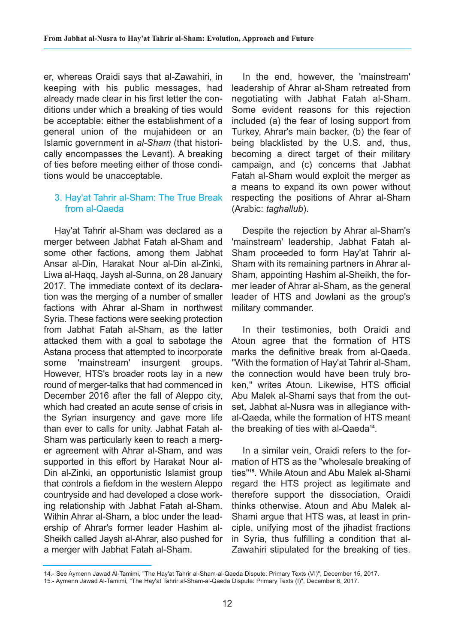er, whereas Oraidi says that al-Zawahiri, in keeping with his public messages, had already made clear in his first letter the conditions under which a breaking of ties would be acceptable: either the establishment of a general union of the mujahideen or an Islamic government in *al-Sham* (that historically encompasses the Levant). A breaking of ties before meeting either of those conditions would be unacceptable.

#### 3. Hay'at Tahrir al-Sham: The True Break from al-Qaeda

Hay'at Tahrir al-Sham was declared as a merger between Jabhat Fatah al-Sham and some other factions, among them Jabhat Ansar al-Din, Harakat Nour al-Din al-Zinki, Liwa al-Haqq, Jaysh al-Sunna, on 28 January 2017. The immediate context of its declaration was the merging of a number of smaller factions with Ahrar al-Sham in northwest Syria. These factions were seeking protection from Jabhat Fatah al-Sham, as the latter attacked them with a goal to sabotage the Astana process that attempted to incorporate some 'mainstream' insurgent groups. However, HTS's broader roots lay in a new round of merger-talks that had commenced in December 2016 after the fall of Aleppo city, which had created an acute sense of crisis in the Syrian insurgency and gave more life than ever to calls for unity. Jabhat Fatah al-Sham was particularly keen to reach a merger agreement with Ahrar al-Sham, and was supported in this effort by Harakat Nour al-Din al-Zinki, an opportunistic Islamist group that controls a fiefdom in the western Aleppo countryside and had developed a close working relationship with Jabhat Fatah al-Sham. Within Ahrar al-Sham, a bloc under the leadership of Ahrar's former leader Hashim al-Sheikh called Jaysh al-Ahrar, also pushed for a merger with Jabhat Fatah al-Sham.

In the end, however, the 'mainstream' leadership of Ahrar al-Sham retreated from negotiating with Jabhat Fatah al-Sham. Some evident reasons for this rejection included (a) the fear of losing support from Turkey, Ahrar's main backer, (b) the fear of being blacklisted by the U.S. and, thus, becoming a direct target of their military campaign, and (c) concerns that Jabhat Fatah al-Sham would exploit the merger as a means to expand its own power without respecting the positions of Ahrar al-Sham (Arabic: *taghallub*).

Despite the rejection by Ahrar al-Sham's 'mainstream' leadership, Jabhat Fatah al-Sham proceeded to form Hay'at Tahrir al-Sham with its remaining partners in Ahrar al-Sham, appointing Hashim al-Sheikh, the former leader of Ahrar al-Sham, as the general leader of HTS and Jowlani as the group's military commander.

In their testimonies, both Oraidi and Atoun agree that the formation of HTS marks the definitive break from al-Qaeda. "With the formation of Hay'at Tahrir al-Sham, the connection would have been truly broken," writes Atoun. Likewise, HTS official Abu Malek al-Shami says that from the outset, Jabhat al-Nusra was in allegiance withal-Qaeda, while the formation of HTS meant the breaking of ties with al-Qaeda**14**.

In a similar vein, Oraidi refers to the formation of HTS as the "wholesale breaking of ties"**15**. While Atoun and Abu Malek al-Shami regard the HTS project as legitimate and therefore support the dissociation, Oraidi thinks otherwise. Atoun and Abu Malek al-Shami argue that HTS was, at least in principle, unifying most of the jihadist fractions in Syria, thus fulfilling a condition that al-Zawahiri stipulated for the breaking of ties.

<sup>14.-</sup> See Aymenn Jawad Al-Tamimi, "The Hay'at Tahrir al-Sham-al-Qaeda Dispute: Primary Texts (VI)", December 15, 2017.

<sup>15.-</sup> Aymenn Jawad Al-Tamimi, "The Hay'at Tahrir al-Sham-al-Qaeda Dispute: Primary Texts (I)", December 6, 2017.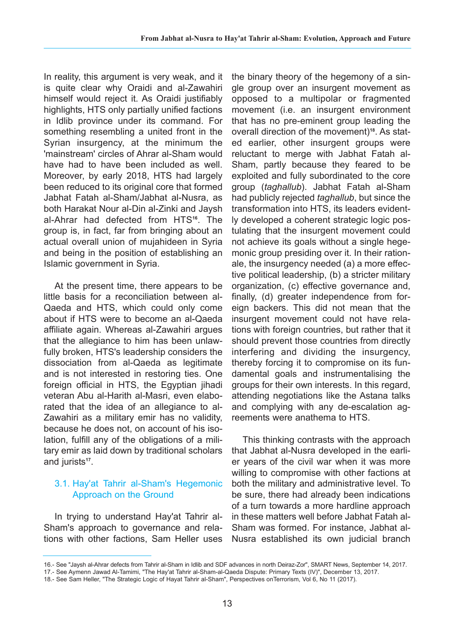In reality, this argument is very weak, and it is quite clear why Oraidi and al-Zawahiri himself would reject it. As Oraidi justifiably highlights, HTS only partially unified factions in Idlib province under its command. For something resembling a united front in the Syrian insurgency, at the minimum the 'mainstream' circles of Ahrar al-Sham would have had to have been included as well. Moreover, by early 2018, HTS had largely been reduced to its original core that formed Jabhat Fatah al-Sham/Jabhat al-Nusra, as both Harakat Nour al-Din al-Zinki and Jaysh al-Ahrar had defected from HTS**16**. The group is, in fact, far from bringing about an actual overall union of mujahideen in Syria and being in the position of establishing an Islamic government in Syria.

At the present time, there appears to be little basis for a reconciliation between al-Qaeda and HTS, which could only come about if HTS were to become an al-Qaeda affiliate again. Whereas al-Zawahiri argues that the allegiance to him has been unlawfully broken, HTS's leadership considers the dissociation from al-Qaeda as legitimate and is not interested in restoring ties. One foreign official in HTS, the Egyptian jihadi veteran Abu al-Harith al-Masri, even elaborated that the idea of an allegiance to al-Zawahiri as a military emir has no validity, because he does not, on account of his isolation, fulfill any of the obligations of a military emir as laid down by traditional scholars and jurists**17**.

## 3.1. Hay'at Tahrir al-Sham's Hegemonic Approach on the Ground

In trying to understand Hay'at Tahrir al-Sham's approach to governance and relations with other factions, Sam Heller uses the binary theory of the hegemony of a single group over an insurgent movement as opposed to a multipolar or fragmented movement (i.e. an insurgent environment that has no pre-eminent group leading the overall direction of the movement)**18**. As stated earlier, other insurgent groups were reluctant to merge with Jabhat Fatah al-Sham, partly because they feared to be exploited and fully subordinated to the core group (*taghallub*). Jabhat Fatah al-Sham had publicly rejected *taghallub*, but since the transformation into HTS, its leaders evidently developed a coherent strategic logic postulating that the insurgent movement could not achieve its goals without a single hegemonic group presiding over it. In their rationale, the insurgency needed (a) a more effective political leadership, (b) a stricter military organization, (c) effective governance and, finally, (d) greater independence from foreign backers. This did not mean that the insurgent movement could not have relations with foreign countries, but rather that it should prevent those countries from directly interfering and dividing the insurgency, thereby forcing it to compromise on its fundamental goals and instrumentalising the groups for their own interests. In this regard, attending negotiations like the Astana talks and complying with any de-escalation agreements were anathema to HTS.

This thinking contrasts with the approach that Jabhat al-Nusra developed in the earlier years of the civil war when it was more willing to compromise with other factions at both the military and administrative level. To be sure, there had already been indications of a turn towards a more hardline approach in these matters well before Jabhat Fatah al-Sham was formed. For instance, Jabhat al-Nusra established its own judicial branch

<sup>16.-</sup> See "Jaysh al-Ahrar defects from Tahrir al-Sham in Idlib and SDF advances in north Deiraz-Zor", SMART News, September 14, 2017.

<sup>17.-</sup> See Aymenn Jawad Al-Tamimi, "The Hay'at Tahrir al-Sham-al-Qaeda Dispute: Primary Texts (IV)", December 13, 2017.

<sup>18.-</sup> See Sam Heller, "The Strategic Logic of Hayat Tahrir al-Sham", Perspectives onTerrorism, Vol 6, No 11 (2017).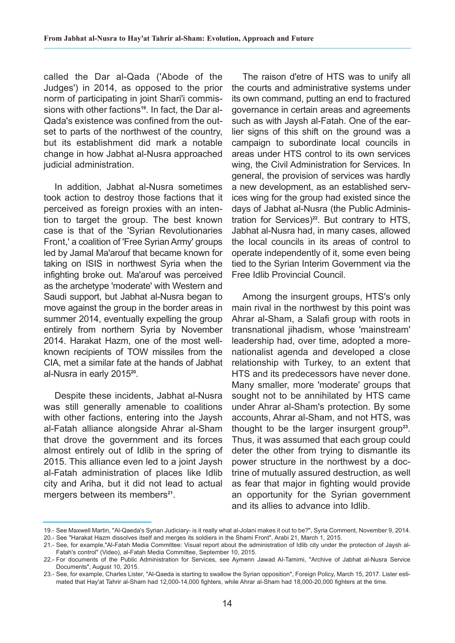called the Dar al-Qada ('Abode of the Judges') in 2014, as opposed to the prior norm of participating in joint Shari'i commissions with other factions**19**. In fact, the Dar al-Qada's existence was confined from the outset to parts of the northwest of the country, but its establishment did mark a notable change in how Jabhat al-Nusra approached judicial administration.

In addition, Jabhat al-Nusra sometimes took action to destroy those factions that it perceived as foreign proxies with an intention to target the group. The best known case is that of the 'Syrian Revolutionaries Front,' a coalition of 'Free Syrian Army' groups led by Jamal Ma'arouf that became known for taking on ISIS in northwest Syria when the infighting broke out. Ma'arouf was perceived as the archetype 'moderate' with Western and Saudi support, but Jabhat al-Nusra began to move against the group in the border areas in summer 2014, eventually expelling the group entirely from northern Syria by November 2014. Harakat Hazm, one of the most wellknown recipients of TOW missiles from the CIA, met a similar fate at the hands of Jabhat al-Nusra in early 2015**20**.

Despite these incidents, Jabhat al-Nusra was still generally amenable to coalitions with other factions, entering into the Jaysh al-Fatah alliance alongside Ahrar al-Sham that drove the government and its forces almost entirely out of Idlib in the spring of 2015. This alliance even led to a joint Jaysh al-Fatah administration of places like Idlib city and Ariha, but it did not lead to actual mergers between its members**21**.

The raison d'etre of HTS was to unify all the courts and administrative systems under its own command, putting an end to fractured governance in certain areas and agreements such as with Jaysh al-Fatah. One of the earlier signs of this shift on the ground was a campaign to subordinate local councils in areas under HTS control to its own services wing, the Civil Administration for Services. In general, the provision of services was hardly a new development, as an established services wing for the group had existed since the days of Jabhat al-Nusra (the Public Administration for Services)**22**. But contrary to HTS, Jabhat al-Nusra had, in many cases, allowed the local councils in its areas of control to operate independently of it, some even being tied to the Syrian Interim Government via the Free Idlib Provincial Council.

Among the insurgent groups, HTS's only main rival in the northwest by this point was Ahrar al-Sham, a Salafi group with roots in transnational jihadism, whose 'mainstream' leadership had, over time, adopted a morenationalist agenda and developed a close relationship with Turkey, to an extent that HTS and its predecessors have never done. Many smaller, more 'moderate' groups that sought not to be annihilated by HTS came under Ahrar al-Sham's protection. By some accounts, Ahrar al-Sham, and not HTS, was thought to be the larger insurgent group**23**. Thus, it was assumed that each group could deter the other from trying to dismantle its power structure in the northwest by a doctrine of mutually assured destruction, as well as fear that major in fighting would provide an opportunity for the Syrian government and its allies to advance into Idlib.

<sup>19.-</sup> See Maxwell Martin, "Al-Qaeda's Syrian Judiciary- is it really what al-Jolani makes it out to be?", Syria Comment, November 9, 2014.

<sup>20.-</sup> See "Harakat Hazm dissolves itself and merges its soldiers in the Shami Front", Arabi 21, March 1, 2015.

<sup>21.-</sup> See, for example,"Al-Fatah Media Committee: Visual report about the administration of Idlib city under the protection of Jaysh al-Fatah's control" (Video), al-Fatah Media Committee, September 10, 2015.

<sup>22.-</sup> For documents of the Public Administration for Services, see Aymenn Jawad Al-Tamimi, "Archive of Jabhat al-Nusra Service Documents", August 10, 2015.

<sup>23.-</sup> See, for example, Charles Lister, "Al-Qaeda is starting to swallow the Syrian opposition", Foreign Policy, March 15, 2017. Lister estimated that Hay'at Tahrir al-Sham had 12,000-14,000 fighters, while Ahrar al-Sham had 18,000-20,000 fighters at the time.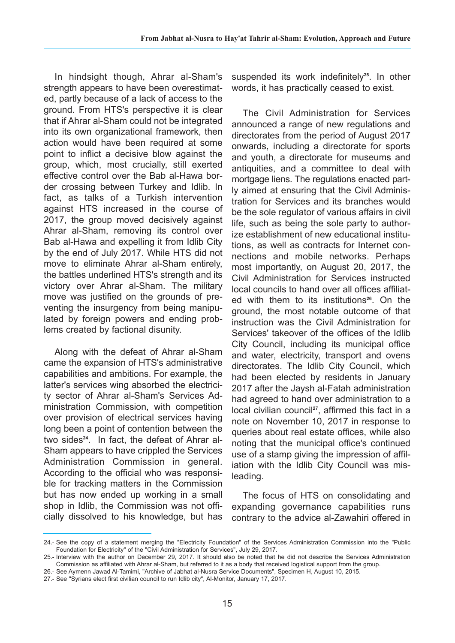In hindsight though, Ahrar al-Sham's strength appears to have been overestimated, partly because of a lack of access to the ground. From HTS's perspective it is clear that if Ahrar al-Sham could not be integrated into its own organizational framework, then action would have been required at some point to inflict a decisive blow against the group, which, most crucially, still exerted effective control over the Bab al-Hawa border crossing between Turkey and Idlib. In fact, as talks of a Turkish intervention against HTS increased in the course of 2017, the group moved decisively against Ahrar al-Sham, removing its control over Bab al-Hawa and expelling it from Idlib City by the end of July 2017. While HTS did not move to eliminate Ahrar al-Sham entirely, the battles underlined HTS's strength and its victory over Ahrar al-Sham. The military move was justified on the grounds of preventing the insurgency from being manipulated by foreign powers and ending problems created by factional disunity.

Along with the defeat of Ahrar al-Sham came the expansion of HTS's administrative capabilities and ambitions. For example, the latter's services wing absorbed the electricity sector of Ahrar al-Sham's Services Administration Commission, with competition over provision of electrical services having long been a point of contention between the two sides**24**. In fact, the defeat of Ahrar al-Sham appears to have crippled the Services Administration Commission in general. According to the official who was responsible for tracking matters in the Commission but has now ended up working in a small shop in Idlib, the Commission was not officially dissolved to his knowledge, but has suspended its work indefinitely**25**. In other words, it has practically ceased to exist.

The Civil Administration for Services announced a range of new regulations and directorates from the period of August 2017 onwards, including a directorate for sports and youth, a directorate for museums and antiquities, and a committee to deal with mortgage liens. The regulations enacted partly aimed at ensuring that the Civil Administration for Services and its branches would be the sole regulator of various affairs in civil life, such as being the sole party to authorize establishment of new educational institutions, as well as contracts for Internet connections and mobile networks. Perhaps most importantly, on August 20, 2017, the Civil Administration for Services instructed local councils to hand over all offices affiliated with them to its institutions**26**. On the ground, the most notable outcome of that instruction was the Civil Administration for Services' takeover of the offices of the Idlib City Council, including its municipal office and water, electricity, transport and ovens directorates. The Idlib City Council, which had been elected by residents in January 2017 after the Jaysh al-Fatah administration had agreed to hand over administration to a local civilian council<sup>27</sup>, affirmed this fact in a note on November 10, 2017 in response to queries about real estate offices, while also noting that the municipal office's continued use of a stamp giving the impression of affiliation with the Idlib City Council was misleading.

The focus of HTS on consolidating and expanding governance capabilities runs contrary to the advice al-Zawahiri offered in

<sup>24.-</sup> See the copy of a statement merging the "Electricity Foundation" of the Services Administration Commission into the "Public Foundation for Electricity" of the "Civil Administration for Services", July 29, 2017.

<sup>25.-</sup> Interview with the author on December 29, 2017. It should also be noted that he did not describe the Services Administration Commission as affiliated with Ahrar al-Sham, but referred to it as a body that received logistical support from the group.

<sup>26.-</sup> See Aymenn Jawad Al-Tamimi, "Archive of Jabhat al-Nusra Service Documents", Specimen H, August 10, 2015.

<sup>27.-</sup> See "Syrians elect first civilian council to run Idlib city", Al-Monitor, January 17, 2017.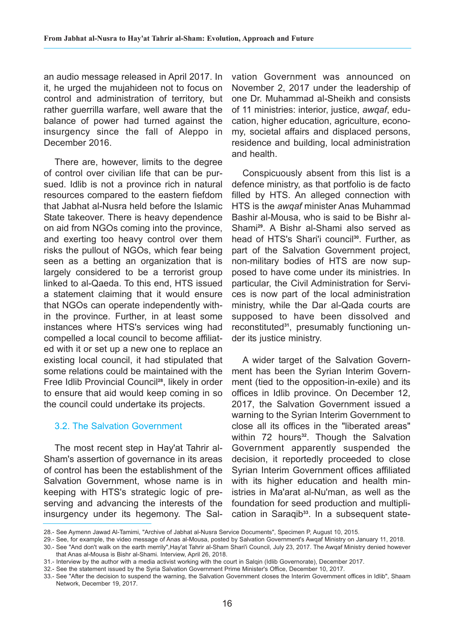an audio message released in April 2017. In it, he urged the mujahideen not to focus on control and administration of territory, but rather guerrilla warfare, well aware that the balance of power had turned against the insurgency since the fall of Aleppo in December 2016.

There are, however, limits to the degree of control over civilian life that can be pursued. Idlib is not a province rich in natural resources compared to the eastern fiefdom that Jabhat al-Nusra held before the Islamic State takeover. There is heavy dependence on aid from NGOs coming into the province, and exerting too heavy control over them risks the pullout of NGOs, which fear being seen as a betting an organization that is largely considered to be a terrorist group linked to al-Qaeda. To this end, HTS issued a statement claiming that it would ensure that NGOs can operate independently within the province. Further, in at least some instances where HTS's services wing had compelled a local council to become affiliated with it or set up a new one to replace an existing local council, it had stipulated that some relations could be maintained with the Free Idlib Provincial Council**28**, likely in order to ensure that aid would keep coming in so the council could undertake its projects.

#### 3.2. The Salvation Government

The most recent step in Hay'at Tahrir al-Sham's assertion of governance in its areas of control has been the establishment of the Salvation Government, whose name is in keeping with HTS's strategic logic of preserving and advancing the interests of the insurgency under its hegemony. The Salvation Government was announced on November 2, 2017 under the leadership of one Dr. Muhammad al-Sheikh and consists of 11 ministries: interior, justice, *awqaf*, education, higher education, agriculture, economy, societal affairs and displaced persons, residence and building, local administration and health.

Conspicuously absent from this list is a defence ministry, as that portfolio is de facto filled by HTS. An alleged connection with HTS is the *awqaf* minister Anas Muhammad Bashir al-Mousa, who is said to be Bishr al-Shami**29**. A Bishr al-Shami also served as head of HTS's Shari'i council**30**. Further, as part of the Salvation Government project, non-military bodies of HTS are now supposed to have come under its ministries. In particular, the Civil Administration for Services is now part of the local administration ministry, while the Dar al-Qada courts are supposed to have been dissolved and reconstituted**31**, presumably functioning under its justice ministry.

A wider target of the Salvation Government has been the Syrian Interim Government (tied to the opposition-in-exile) and its offices in Idlib province. On December 12, 2017, the Salvation Government issued a warning to the Syrian Interim Government to close all its offices in the "liberated areas" within 72 hours<sup>32</sup>. Though the Salvation Government apparently suspended the decision, it reportedly proceeded to close Syrian Interim Government offices affiliated with its higher education and health ministries in Ma'arat al-Nu'man, as well as the foundation for seed production and multiplication in Saraqib**33**. In a subsequent state-

32.- See the statement issued by the Syria Salvation Government Prime Minister's Office, December 10, 2017.

<sup>28.-</sup> See Aymenn Jawad Al-Tamimi, "Archive of Jabhat al-Nusra Service Documents", Specimen P, August 10, 2015.

<sup>29.-</sup> See, for example, the video message of Anas al-Mousa, posted by Salvation Government's Awqaf Ministry on January 11, 2018.

<sup>30.-</sup> See "And don't walk on the earth merrily",Hay'at Tahrir al-Sham Shari'i Council, July 23, 2017. The Awqaf Ministry denied however that Anas al-Mousa is Bishr al-Shami. Interview, April 26, 2018.

<sup>31.-</sup> Interview by the author with a media activist working with the court in Salqin (Idlib Governorate), December 2017.

<sup>33.-</sup> See "After the decision to suspend the warning, the Salvation Government closes the Interim Government offices in Idlib", Shaam Network, December 19, 2017.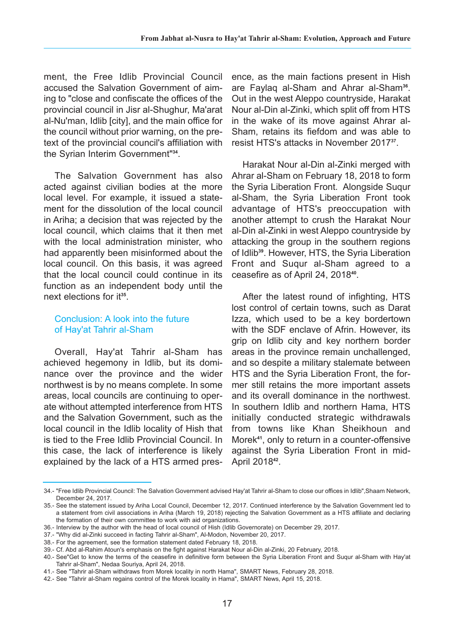ment, the Free Idlib Provincial Council accused the Salvation Government of aiming to "close and confiscate the offices of the provincial council in Jisr al-Shughur, Ma'arat al-Nu'man, Idlib [city], and the main office for the council without prior warning, on the pretext of the provincial council's affiliation with the Syrian Interim Government"**34**.

The Salvation Government has also acted against civilian bodies at the more local level. For example, it issued a statement for the dissolution of the local council in Ariha; a decision that was rejected by the local council, which claims that it then met with the local administration minister, who had apparently been misinformed about the local council. On this basis, it was agreed that the local council could continue in its function as an independent body until the next elections for it**35**.

## Conclusion: A look into the future of Hay'at Tahrir al-Sham

Overall, Hay'at Tahrir al-Sham has achieved hegemony in Idlib, but its dominance over the province and the wider northwest is by no means complete. In some areas, local councils are continuing to operate without attempted interference from HTS and the Salvation Government, such as the local council in the Idlib locality of Hish that is tied to the Free Idlib Provincial Council. In this case, the lack of interference is likely explained by the lack of a HTS armed presence, as the main factions present in Hish are Faylaq al-Sham and Ahrar al-Sham**36**. Out in the west Aleppo countryside, Harakat Nour al-Din al-Zinki, which split off from HTS in the wake of its move against Ahrar al-Sham, retains its fiefdom and was able to resist HTS's attacks in November 2017**37**.

Harakat Nour al-Din al-Zinki merged with Ahrar al-Sham on February 18, 2018 to form the Syria Liberation Front. Alongside Suqur al-Sham, the Syria Liberation Front took advantage of HTS's preoccupation with another attempt to crush the Harakat Nour al-Din al-Zinki in west Aleppo countryside by attacking the group in the southern regions of Idlib**39**. However, HTS, the Syria Liberation Front and Suqur al-Sham agreed to a ceasefire as of April 24, 2018**40**.

After the latest round of infighting, HTS lost control of certain towns, such as Darat Izza, which used to be a key bordertown with the SDF enclave of Afrin. However, its grip on Idlib city and key northern border areas in the province remain unchallenged, and so despite a military stalemate between HTS and the Syria Liberation Front, the former still retains the more important assets and its overall dominance in the northwest. In southern Idlib and northern Hama, HTS initially conducted strategic withdrawals from towns like Khan Sheikhoun and Morek**41**, only to return in a counter-offensive against the Syria Liberation Front in mid-April 2018**42**.

<sup>34.- &</sup>quot;Free Idlib Provincial Council: The Salvation Government advised Hay'at Tahrir al-Sham to close our offices in Idlib",Shaam Network, December 24, 2017.

<sup>35.-</sup> See the statement issued by Ariha Local Council, December 12, 2017. Continued interference by the Salvation Government led to a statement from civil associations in Ariha (March 19, 2018) rejecting the Salvation Government as a HTS affiliate and declaring the formation of their own committee to work with aid organizations.

<sup>36.-</sup> Interview by the author with the head of local council of Hish (Idlib Governorate) on December 29, 2017.

<sup>37.- &</sup>quot;Why did al-Zinki succeed in facting Tahrir al-Sham", Al-Modon, November 20, 2017.

<sup>38.-</sup> For the agreement, see the formation statement dated February 18, 2018.

<sup>39.-</sup> Cf. Abd al-Rahim Atoun's emphasis on the fight against Harakat Nour al-Din al-Zinki, 20 February, 2018.

<sup>40.-</sup> See"Get to know the terms of the ceasefire in definitive form between the Syria Liberation Front and Suqur al-Sham with Hay'at Tahrir al-Sham", Nedaa Souriya, April 24, 2018.

<sup>41.-</sup> See "Tahrir al-Sham withdraws from Morek locality in north Hama", SMART News, February 28, 2018.

<sup>42.-</sup> See "Tahrir al-Sham regains control of the Morek locality in Hama", SMART News, April 15, 2018.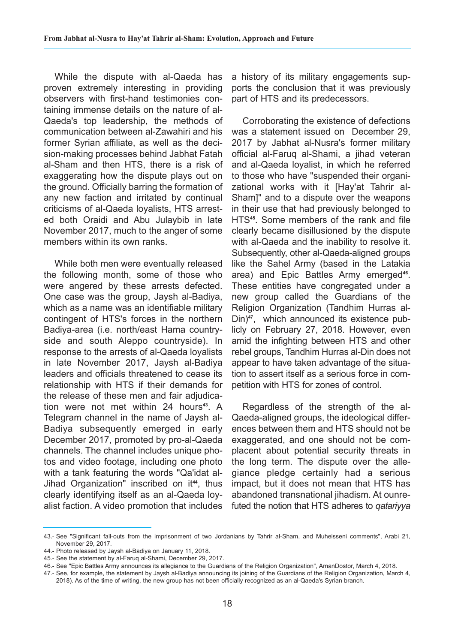While the dispute with al-Qaeda has proven extremely interesting in providing observers with first-hand testimonies containing immense details on the nature of al-Qaeda's top leadership, the methods of communication between al-Zawahiri and his former Syrian affiliate, as well as the decision-making processes behind Jabhat Fatah al-Sham and then HTS, there is a risk of exaggerating how the dispute plays out on the ground. Officially barring the formation of any new faction and irritated by continual criticisms of al-Qaeda loyalists, HTS arrested both Oraidi and Abu Julaybib in late November 2017, much to the anger of some members within its own ranks.

While both men were eventually released the following month, some of those who were angered by these arrests defected. One case was the group, Jaysh al-Badiya, which as a name was an identifiable military contingent of HTS's forces in the northern Badiya-area (i.e. north/east Hama countryside and south Aleppo countryside). In response to the arrests of al-Qaeda loyalists in late November 2017, Jaysh al-Badiya leaders and officials threatened to cease its relationship with HTS if their demands for the release of these men and fair adjudication were not met within 24 hours**43**. A Telegram channel in the name of Jaysh al-Badiya subsequently emerged in early December 2017, promoted by pro-al-Qaeda channels. The channel includes unique photos and video footage, including one photo with a tank featuring the words "Qa'idat al-Jihad Organization" inscribed on it**44**, thus clearly identifying itself as an al-Qaeda loyalist faction. A video promotion that includes

a history of its military engagements supports the conclusion that it was previously part of HTS and its predecessors.

Corroborating the existence of defections was a statement issued on December 29, 2017 by Jabhat al-Nusra's former military official al-Faruq al-Shami, a jihad veteran and al-Qaeda loyalist, in which he referred to those who have "suspended their organizational works with it [Hay'at Tahrir al-Sham]" and to a dispute over the weapons in their use that had previously belonged to HTS**45**. Some members of the rank and file clearly became disillusioned by the dispute with al-Qaeda and the inability to resolve it. Subsequently, other al-Qaeda-aligned groups like the Sahel Army (based in the Latakia area) and Epic Battles Army emerged<sup>46</sup>. These entities have congregated under a new group called the Guardians of the Religion Organization (Tandhim Hurras al-Din)**47**, which announced its existence publicly on February 27, 2018. However, even amid the infighting between HTS and other rebel groups, Tandhim Hurras al-Din does not appear to have taken advantage of the situation to assert itself as a serious force in competition with HTS for zones of control.

Regardless of the strength of the al-Qaeda-aligned groups, the ideological differences between them and HTS should not be exaggerated, and one should not be complacent about potential security threats in the long term. The dispute over the allegiance pledge certainly had a serious impact, but it does not mean that HTS has abandoned transnational jihadism. At ounrefuted the notion that HTS adheres to *qatariyya*

<sup>43.-</sup> See "Significant fall-outs from the imprisonment of two Jordanians by Tahrir al-Sham, and Muheisseni comments", Arabi 21, November 29, 2017.

<sup>44.-</sup> Photo released by Jaysh al-Badiya on January 11, 2018.

<sup>45.-</sup> See the statement by al-Faruq al-Shami, December 29, 2017.

<sup>46.-</sup> See "Epic Battles Army announces its allegiance to the Guardians of the Religion Organization", AmanDostor, March 4, 2018.

<sup>47.-</sup> See, for example, the statement by Jaysh al-Badiya announcing its joining of the Guardians of the Religion Organization, March 4, 2018). As of the time of writing, the new group has not been officially recognized as an al-Qaeda's Syrian branch.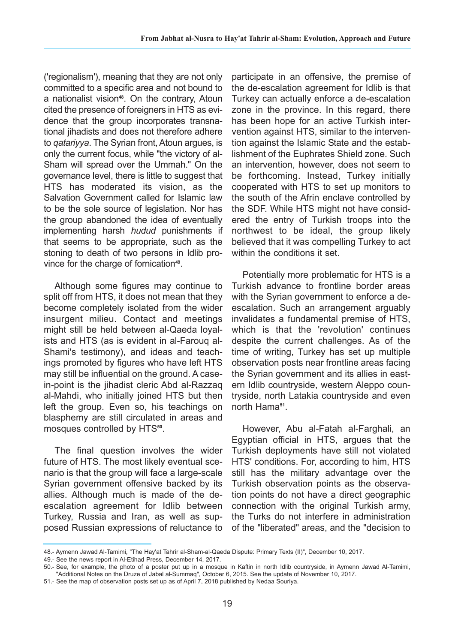('regionalism'), meaning that they are not only committed to a specific area and not bound to a nationalist vision**48**. On the contrary, Atoun cited the presence of foreigners in HTS as evidence that the group incorporates transnational jihadists and does not therefore adhere to *qatariyya*. The Syrian front, Atoun argues, is only the current focus, while "the victory of al-Sham will spread over the Ummah." On the governance level, there is little to suggest that HTS has moderated its vision, as the Salvation Government called for Islamic law to be the sole source of legislation. Nor has the group abandoned the idea of eventually implementing harsh *hudud* punishments if that seems to be appropriate, such as the stoning to death of two persons in Idlib province for the charge of fornication**49**.

Although some figures may continue to split off from HTS, it does not mean that they become completely isolated from the wider insurgent milieu. Contact and meetings might still be held between al-Qaeda loyalists and HTS (as is evident in al-Farouq al-Shami's testimony), and ideas and teachings promoted by figures who have left HTS may still be influential on the ground. A casein-point is the jihadist cleric Abd al-Razzaq al-Mahdi, who initially joined HTS but then left the group. Even so, his teachings on blasphemy are still circulated in areas and mosques controlled by HTS**50**.

The final question involves the wider future of HTS. The most likely eventual scenario is that the group will face a large-scale Syrian government offensive backed by its allies. Although much is made of the deescalation agreement for Idlib between Turkey, Russia and Iran, as well as supposed Russian expressions of reluctance to

participate in an offensive, the premise of the de-escalation agreement for Idlib is that Turkey can actually enforce a de-escalation zone in the province. In this regard, there has been hope for an active Turkish intervention against HTS, similar to the intervention against the Islamic State and the establishment of the Euphrates Shield zone. Such an intervention, however, does not seem to be forthcoming. Instead, Turkey initially cooperated with HTS to set up monitors to the south of the Afrin enclave controlled by the SDF. While HTS might not have considered the entry of Turkish troops into the northwest to be ideal, the group likely believed that it was compelling Turkey to act within the conditions it set.

Potentially more problematic for HTS is a Turkish advance to frontline border areas with the Syrian government to enforce a deescalation. Such an arrangement arguably invalidates a fundamental premise of HTS, which is that the 'revolution' continues despite the current challenges. As of the time of writing, Turkey has set up multiple observation posts near frontline areas facing the Syrian government and its allies in eastern Idlib countryside, western Aleppo countryside, north Latakia countryside and even north Hama**51**.

However, Abu al-Fatah al-Farghali, an Egyptian official in HTS, argues that the Turkish deployments have still not violated HTS' conditions. For, according to him, HTS still has the military advantage over the Turkish observation points as the observation points do not have a direct geographic connection with the original Turkish army, the Turks do not interfere in administration of the "liberated" areas, and the "decision to

<sup>48.-</sup> Aymenn Jawad Al-Tamimi, "The Hay'at Tahrir al-Sham-al-Qaeda Dispute: Primary Texts (II)", December 10, 2017.

<sup>49.-</sup> See the news report in Al-Etihad Press, December 14, 2017.

<sup>50.-</sup> See, for example, the photo of a poster put up in a mosque in Kaftin in north Idlib countryside, in Aymenn Jawad Al-Tamimi, "Additional Notes on the Druze of Jabal al-Summaq", October 6, 2015. See the update of November 10, 2017.

<sup>51.-</sup> See the map of observation posts set up as of April 7, 2018 published by Nedaa Souriya.